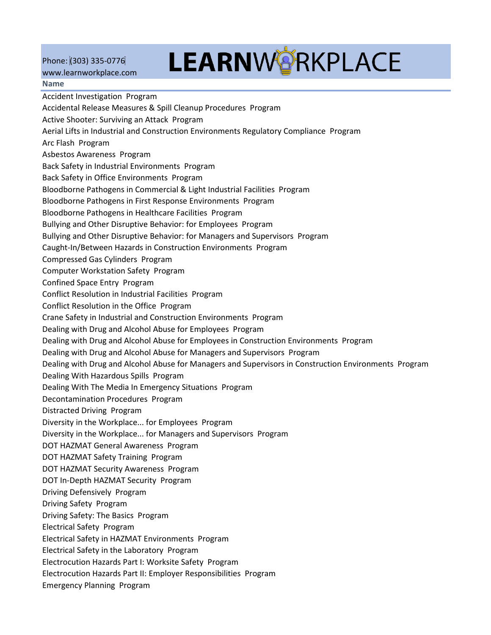Phone: (303) 335-0776

## [www.learnworkplace.com](http://www.learnworkplace.com/)  **Name**

## **LEARNWORKPLACE**

Accident Investigation Program Accidental Release Measures & Spill Cleanup Procedures Program Active Shooter: Surviving an Attack Program Aerial Lifts in Industrial and Construction Environments Regulatory Compliance Program Arc Flash Program Asbestos Awareness Program Back Safety in Industrial Environments Program Back Safety in Office Environments Program Bloodborne Pathogens in Commercial & Light Industrial Facilities Program Bloodborne Pathogens in First Response Environments Program Bloodborne Pathogens in Healthcare Facilities Program Bullying and Other Disruptive Behavior: for Employees Program Bullying and Other Disruptive Behavior: for Managers and Supervisors Program Caught-In/Between Hazards in Construction Environments Program Compressed Gas Cylinders Program Computer Workstation Safety Program Confined Space Entry Program Conflict Resolution in Industrial Facilities Program Conflict Resolution in the Office Program Crane Safety in Industrial and Construction Environments Program Dealing with Drug and Alcohol Abuse for Employees Program Dealing with Drug and Alcohol Abuse for Employees in Construction Environments Program Dealing with Drug and Alcohol Abuse for Managers and Supervisors Program Dealing with Drug and Alcohol Abuse for Managers and Supervisors in Construction Environments Program Dealing With Hazardous Spills Program Dealing With The Media In Emergency Situations Program Decontamination Procedures Program Distracted Driving Program Diversity in the Workplace... for Employees Program Diversity in the Workplace... for Managers and Supervisors Program DOT HAZMAT General Awareness Program DOT HAZMAT Safety Training Program DOT HAZMAT Security Awareness Program DOT In-Depth HAZMAT Security Program Driving Defensively Program Driving Safety Program Driving Safety: The Basics Program Electrical Safety Program Electrical Safety in HAZMAT Environments Program Electrical Safety in the Laboratory Program Electrocution Hazards Part I: Worksite Safety Program Electrocution Hazards Part II: Employer Responsibilities Program Emergency Planning Program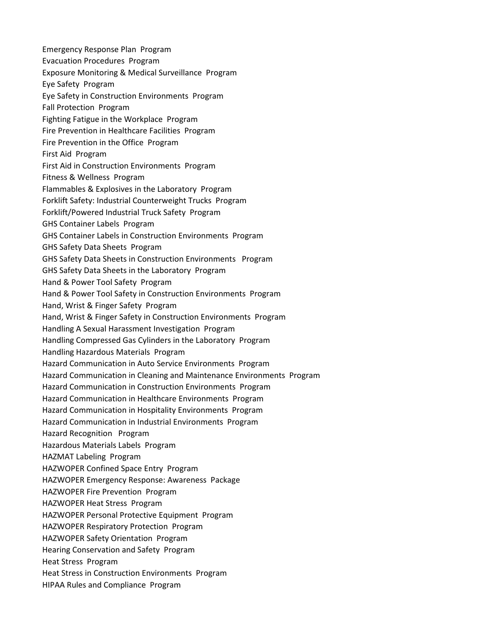Emergency Response Plan Program Evacuation Procedures Program Exposure Monitoring & Medical Surveillance Program Eye Safety Program Eye Safety in Construction Environments Program Fall Protection Program Fighting Fatigue in the Workplace Program Fire Prevention in Healthcare Facilities Program Fire Prevention in the Office Program First Aid Program First Aid in Construction Environments Program Fitness & Wellness Program Flammables & Explosives in the Laboratory Program Forklift Safety: Industrial Counterweight Trucks Program Forklift/Powered Industrial Truck Safety Program GHS Container Labels Program GHS Container Labels in Construction Environments Program GHS Safety Data Sheets Program GHS Safety Data Sheets in Construction Environments Program GHS Safety Data Sheets in the Laboratory Program Hand & Power Tool Safety Program Hand & Power Tool Safety in Construction Environments Program Hand, Wrist & Finger Safety Program Hand, Wrist & Finger Safety in Construction Environments Program Handling A Sexual Harassment Investigation Program Handling Compressed Gas Cylinders in the Laboratory Program Handling Hazardous Materials Program Hazard Communication in Auto Service Environments Program Hazard Communication in Cleaning and Maintenance Environments Program Hazard Communication in Construction Environments Program Hazard Communication in Healthcare Environments Program Hazard Communication in Hospitality Environments Program Hazard Communication in Industrial Environments Program Hazard Recognition Program Hazardous Materials Labels Program HAZMAT Labeling Program HAZWOPER Confined Space Entry Program HAZWOPER Emergency Response: Awareness Package HAZWOPER Fire Prevention Program HAZWOPER Heat Stress Program HAZWOPER Personal Protective Equipment Program HAZWOPER Respiratory Protection Program HAZWOPER Safety Orientation Program Hearing Conservation and Safety Program Heat Stress Program Heat Stress in Construction Environments Program HIPAA Rules and Compliance Program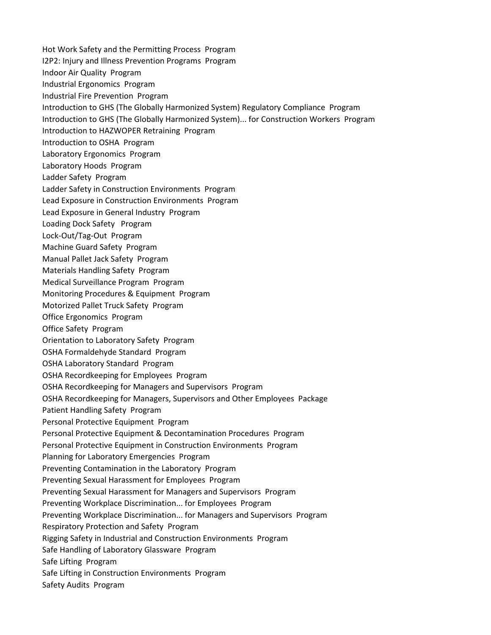Hot Work Safety and the Permitting Process Program I2P2: Injury and Illness Prevention Programs Program Indoor Air Quality Program Industrial Ergonomics Program Industrial Fire Prevention Program Introduction to GHS (The Globally Harmonized System) Regulatory Compliance Program Introduction to GHS (The Globally Harmonized System)... for Construction Workers Program Introduction to HAZWOPER Retraining Program Introduction to OSHA Program Laboratory Ergonomics Program Laboratory Hoods Program Ladder Safety Program Ladder Safety in Construction Environments Program Lead Exposure in Construction Environments Program Lead Exposure in General Industry Program Loading Dock Safety Program Lock-Out/Tag-Out Program Machine Guard Safety Program Manual Pallet Jack Safety Program Materials Handling Safety Program Medical Surveillance Program Program Monitoring Procedures & Equipment Program Motorized Pallet Truck Safety Program Office Ergonomics Program Office Safety Program Orientation to Laboratory Safety Program OSHA Formaldehyde Standard Program OSHA Laboratory Standard Program OSHA Recordkeeping for Employees Program OSHA Recordkeeping for Managers and Supervisors Program OSHA Recordkeeping for Managers, Supervisors and Other Employees Package Patient Handling Safety Program Personal Protective Equipment Program Personal Protective Equipment & Decontamination Procedures Program Personal Protective Equipment in Construction Environments Program Planning for Laboratory Emergencies Program Preventing Contamination in the Laboratory Program Preventing Sexual Harassment for Employees Program Preventing Sexual Harassment for Managers and Supervisors Program Preventing Workplace Discrimination... for Employees Program Preventing Workplace Discrimination... for Managers and Supervisors Program Respiratory Protection and Safety Program Rigging Safety in Industrial and Construction Environments Program Safe Handling of Laboratory Glassware Program Safe Lifting Program Safe Lifting in Construction Environments Program Safety Audits Program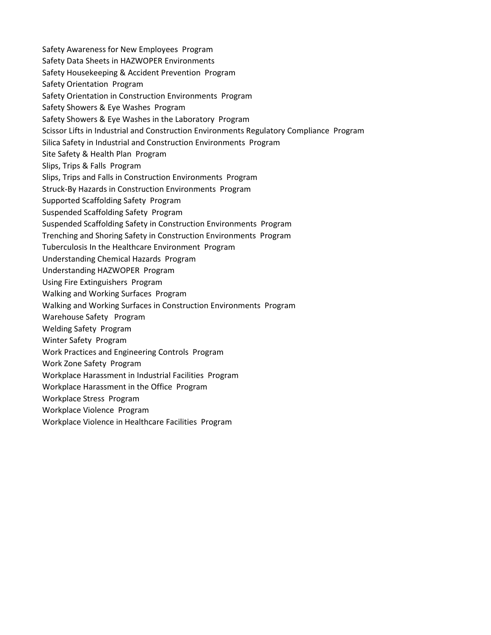Safety Awareness for New Employees Program Safety Data Sheets in HAZWOPER Environments Safety Housekeeping & Accident Prevention Program Safety Orientation Program Safety Orientation in Construction Environments Program Safety Showers & Eye Washes Program Safety Showers & Eye Washes in the Laboratory Program Scissor Lifts in Industrial and Construction Environments Regulatory Compliance Program Silica Safety in Industrial and Construction Environments Program Site Safety & Health Plan Program Slips, Trips & Falls Program Slips, Trips and Falls in Construction Environments Program Struck-By Hazards in Construction Environments Program Supported Scaffolding Safety Program Suspended Scaffolding Safety Program Suspended Scaffolding Safety in Construction Environments Program Trenching and Shoring Safety in Construction Environments Program Tuberculosis In the Healthcare Environment Program Understanding Chemical Hazards Program Understanding HAZWOPER Program Using Fire Extinguishers Program Walking and Working Surfaces Program Walking and Working Surfaces in Construction Environments Program Warehouse Safety Program Welding Safety Program Winter Safety Program Work Practices and Engineering Controls Program Work Zone Safety Program Workplace Harassment in Industrial Facilities Program Workplace Harassment in the Office Program Workplace Stress Program Workplace Violence Program Workplace Violence in Healthcare Facilities Program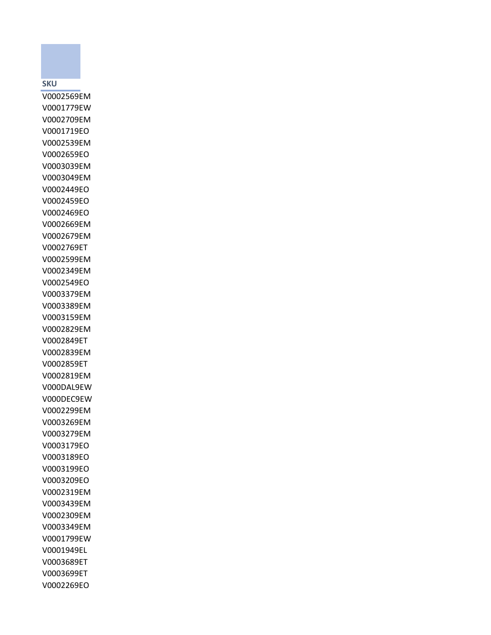## **SKU**

V0002569EM V0001779EW V0002709EM V0001719EO V0002539EM V0002659EO V0003039EM V0003049EM V0002449EO V0002459EO V0002469EO V0002669EM V0002679EM V0002769ET V0002599EM V0002349EM V0002549EO V0003379EM V0003389EM V0003159EM V0002829EM V0002849ET V0002839EM V0002859ET V0002819EM V000DAL9EW V000DEC9EW V0002299EM V0003269EM V0003279EM V0003179EO V0003189EO V0003199EO V0003209EO V0002319EM V0003439EM V0002309EM V0003349EM V0001799EW V0001949EL V0003689ET V0003699ET V0002269EO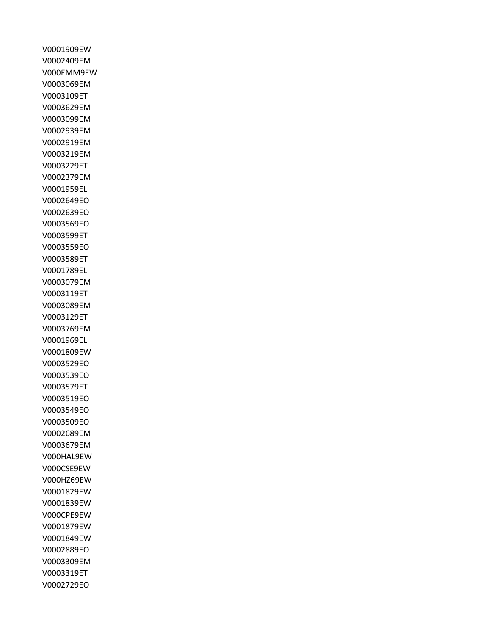V0001909EW V0002409EM V000EMM9EW V0003069EM V0003109ET V0003629EM V0003099EM V0002939EM V0002919EM V0003219EM V0003229ET V0002379EM V0001959EL V0002649EO V0002639EO V0003569EO V0003599ET V0003559EO V0003589ET V0001789EL V0003079EM V0003119ET V0003089EM V0003129ET V0003769EM V0001969EL V0001809EW V0003529EO V0003539EO V0003579ET V0003519EO V0003549EO V0003509EO V0002689EM V0003679EM V000HAL9EW V000CSE9EW V000HZ69EW V0001829EW V0001839EW V000CPE9EW V0001879EW V0001849EW V0002889EO V0003309EM V0003319ET V0002729EO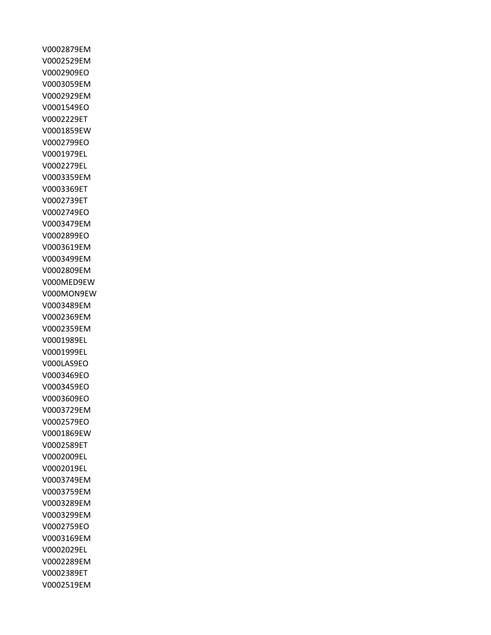V0002879EM V0002529EM V0002909EO V0003059EM V0002929EM V0001549EO V0002229ET V0001859EW V0002799EO V0001979EL V0002279EL V0003359EM V0003369ET V0002739ET V0002749EO V0003479EM V0002899EO V0003619EM V0003499EM V0002809EM V000MED9EW V000MON9EW V0003489EM V0002369EM V0002359EM V0001989EL V0001999EL V000LAS9EO V0003469EO V0003459EO V0003609EO V0003729EM V0002579EO V0001869EW V0002589ET V0002009EL V0002019EL V0003749EM V0003759EM V0003289EM V0003299EM V0002759EO V0003169EM V0002029EL V0002289EM V0002389ET V0002519EM